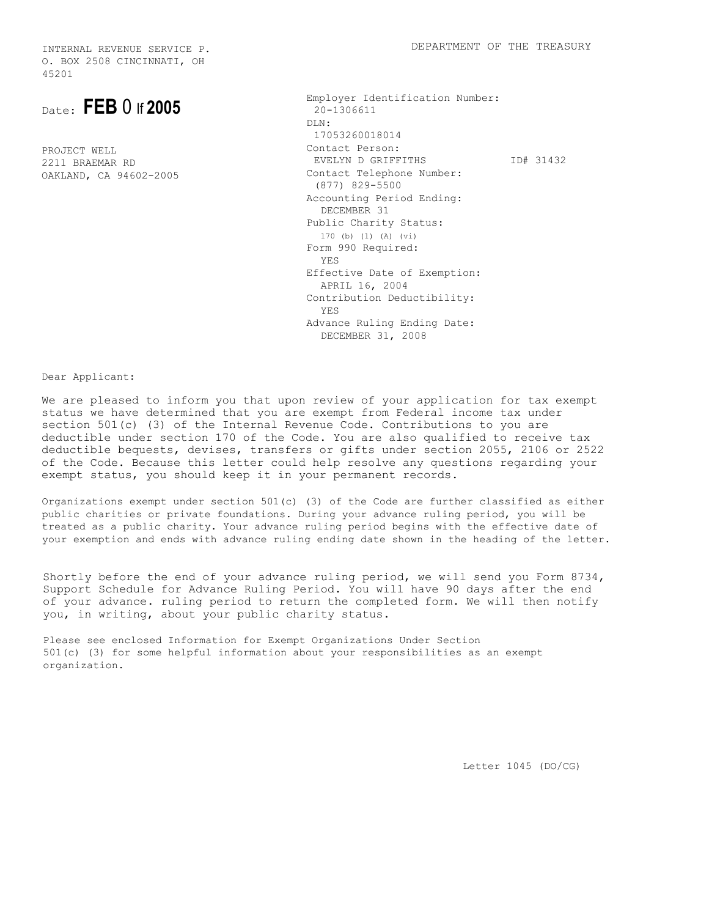O. BOX 2508 CINCINNATI, OH 45201

Date: **FEB** 0 If **2005** 

PROJECT WELL 2211 BRAEMAR RD OAKLAND, CA 94602-2005 Employer Identification Number: 20-1306611  $DT.N$  17053260018014 Contact Person: EVELYN D GRIFFITHS Contact Telephone Number: (877) 829-5500 Accounting Period Ending: DECEMBER 31 Public Charity Status: 170 (b) (1) (A) (vi) Form 990 Required: YES Effective Date of Exemption: APRIL 16, 2004 Contribution Deductibility: YES Advance Ruling Ending Date: DECEMBER 31, 2008 ID# 31432

Dear Applicant:

We are pleased to inform you that upon review of your application for tax exempt status we have determined that you are exempt from Federal income tax under section 501(c) (3) of the Internal Revenue Code. Contributions to you are deductible under section 170 of the Code. You are also qualified to receive tax deductible bequests, devises, transfers or gifts under section 2055, 2106 or 2522 of the Code. Because this letter could help resolve any questions regarding your exempt status, you should keep it in your permanent records.

Organizations exempt under section  $501(c)$  (3) of the Code are further classified as either public charities or private foundations. During your advance ruling period, you will be treated as a public charity. Your advance ruling period begins with the effective date of your exemption and ends with advance ruling ending date shown in the heading of the letter.

Shortly before the end of your advance ruling period, we will send you Form 8734, Support Schedule for Advance Ruling Period. You will have 90 days after the end of your advance. ruling period to return the completed form. We will then notify you, in writing, about your public charity status.

Please see enclosed Information for Exempt Organizations Under Section 501(c) (3) for some helpful information about your responsibilities as an exempt organization.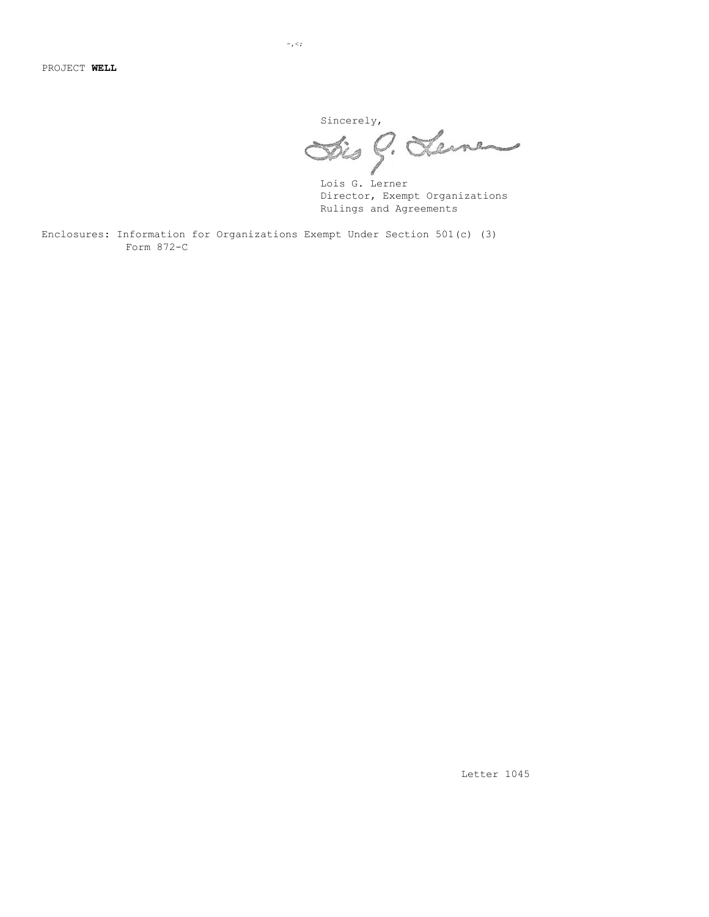sincerely,

Lois G. Lerner Director, Exempt Organizations Rulings and Agreements

Enclosures: Information for Organizations Exempt Under Section 501(c) (3) Form 872-C

 $-$ , $\lt$ ;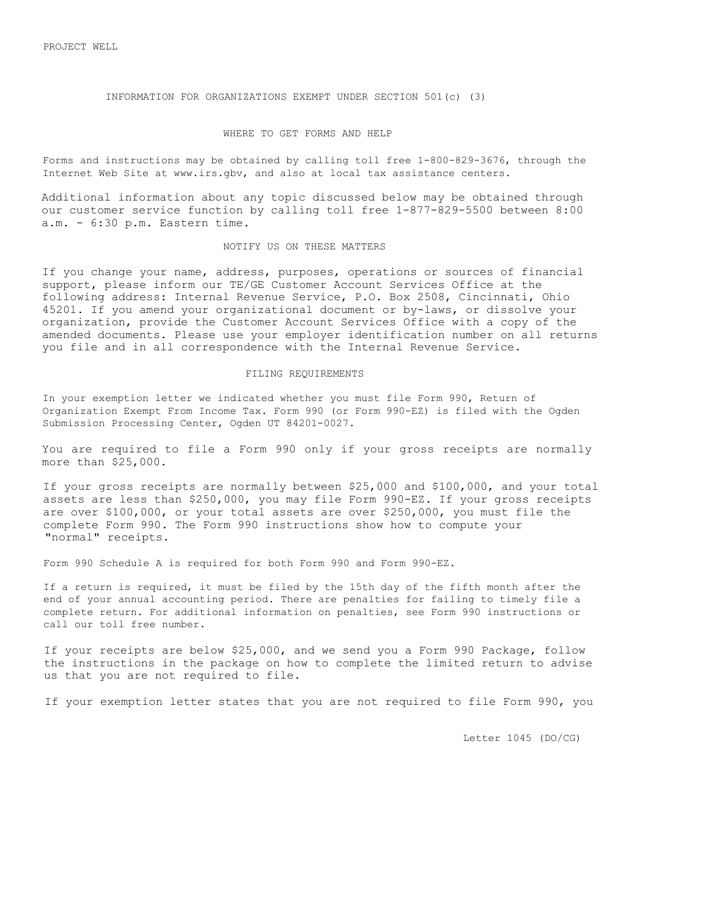PROJECT WELL

INFORMATION FOR ORGANIZATIONS EXEMPT UNDER SECTION 501(c) (3)

#### WHERE TO GET FORMS AND HELP

Forms and instructions may be obtained by calling toll free 1-800-829-3676, through the Internet Web Site at www.irs.gbv, and also at local tax assistance centers.

Additional information about any topic discussed below may be obtained through our customer service function by calling toll free 1-877-829-5500 between 8:00 a.m. - 6:30 p.m. Eastern time.

#### NOTIFY US ON THESE MATTERS

If you change your name, address, purposes, operations or sources of financial support, please inform our TE/GE Customer Account Services Office at the following address: Internal Revenue Service, P.O. Box 2508, Cincinnati, Ohio 45201. If you amend your organizational document or by-laws, or dissolve your organization, provide the Customer Account Services Office with a copy of the amended documents. Please use your employer identification number on all returns you file and in all correspondence with the Internal Revenue Service.

#### FILING REQUIREMENTS

In your exemption letter we indicated whether you must file Form 990, Return of Organization Exempt From Income Tax. Form 990 (or Form 990-EZ) is filed with the Ogden Submission Processing Center, Ogden UT 84201-0027.

You are required to file a Form 990 only if your gross receipts are normally more than \$25,000.

If your gross receipts are normally between \$25,000 and \$100,000, and your total assets are less than \$250,000, you may file Form 990-EZ. If your gross receipts are over \$100,000, or your total assets are over \$250,000, you must file the complete Form 990. The Form 990 instructions show how to compute your "normal" receipts.

Form 990 Schedule A is required for both Form 990 and Form 990-EZ.

If a return is required, it must be filed by the 15th day of the fifth month after the end of your annual accounting period. There are penalties for failing to timely file a complete return. For additional information on penalties, see Form 990 instructions or call our toll free number.

If your receipts are below \$25,000, and we send you a Form 990 Package, follow the instructions in the package on how to complete the limited return to advise us that you are not required to file.

If your exemption letter states that you are not required to file Form 990, you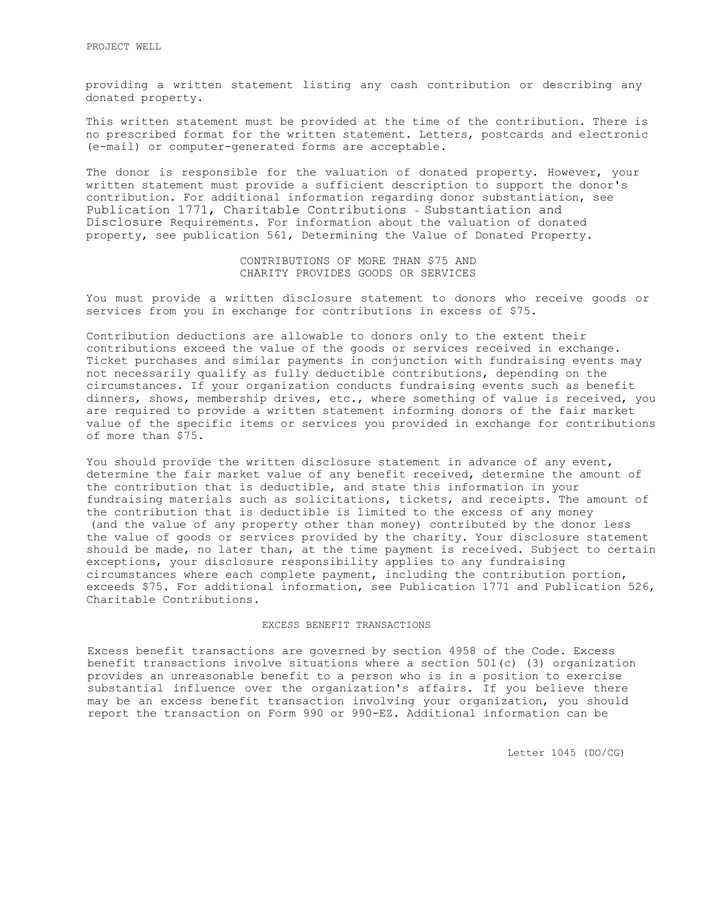providing a written statement listing any cash contribution or describing any donated property.

This written statement must be provided at the time of the contribution. There is no prescribed format for the written statement. Letters, postcards and electronic (e-mail) or computer-generated forms are acceptable.

The donor is responsible for the valuation of donated property. However, your written statement must provide a sufficient description to support the donor's contribution. For additional information regarding donor substantiation, see Publication 1771, Charitable Contributions - Substantiation and Disclosure Requirements. For information about the valuation of donated property, see publication 561, Determining the Value of Donated Property.

> CONTRIBUTIONS OF MORE THAN \$75 AND CHARITY PROVIDES GOODS OR SERVICES

You must provide a written disclosure statement to donors who receive goods or services from you in exchange for contributions in excess of \$75.

Contribution deductions are allowable to donors only to the extent their contributions exceed the value of the goods or services received in exchange. Ticket purchases and similar payments in conjunction with fundraising events may not necessarily qualify as fully deductible contributions, depending on the circumstances. If your organization conducts fundraising events such as benefit dinners, shows, membership drives, etc., where something of value is received, you are required to provide a written statement informing donors of the fair market value of the specific items or services you provided in exchange for contributions of more than \$75.

You should provide the written disclosure statement in advance of any event, determine the fair market value of any benefit received, determine the amount of the contribution that is deductible, and state this information in your fundraising materials such as solicitations, tickets, and receipts. The amount of the contribution that is deductible is limited to the excess of any money (and the value of any property other than money) contributed by the donor less the value of goods or services provided by the charity. Your disclosure statement should be made, no later than, at the time payment is received. Subject to certain exceptions, your disclosure responsibility applies to any fundraising circumstances where each complete payment, including the contribution portion, exceeds \$75. For additional information, see Publication 1771 and Publication 526, Charitable Contributions.

## EXCESS BENEFIT TRANSACTIONS

Excess benefit transactions are governed by section 4958 of the Code. Excess benefit transactions involve situations where a section 501(c) (3) organization provides an unreasonable benefit to a person who is in a position to exercise substantial influence over the organization's affairs. If you believe there may be an excess benefit transaction involving your organization, you should report the transaction on Form 990 or 990-EZ. Additional information can be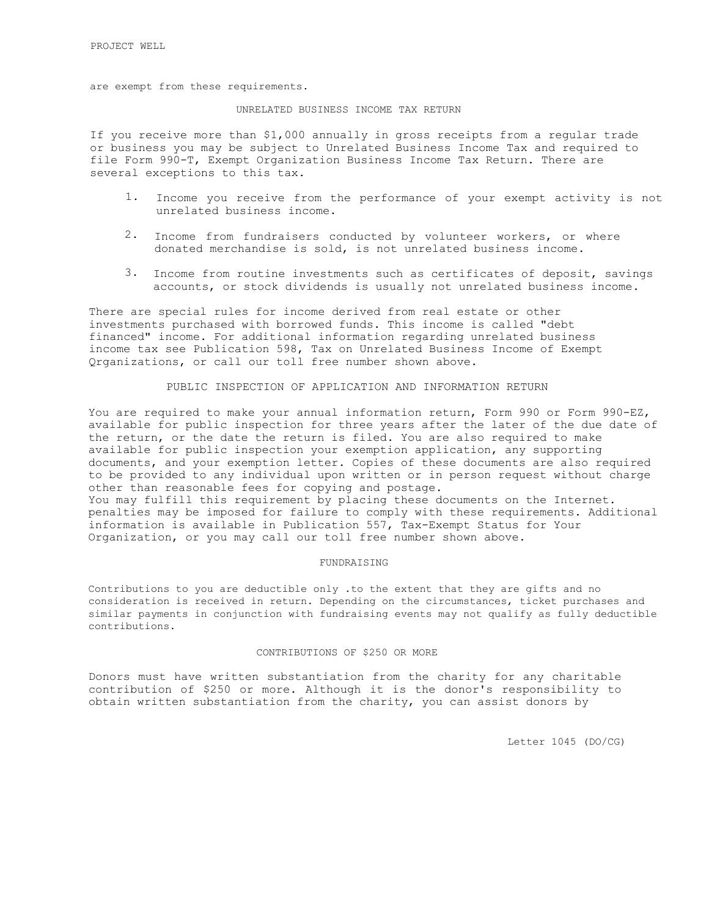are exempt from these requirements.

## UNRELATED BUSINESS INCOME TAX RETURN

If you receive more than \$1,000 annually in gross receipts from a regular trade or business you may be subject to Unrelated Business Income Tax and required to file Form 990-T, Exempt Organization Business Income Tax Return. There are several exceptions to this tax.

- 1. Income you receive from the performance of your exempt activity is not unrelated business income.
- 2. Income from fundraisers conducted by volunteer workers, or where donated merchandise is sold, is not unrelated business income.
- 3. Income from routine investments such as certificates of deposit, savings accounts, or stock dividends is usually not unrelated business income.

There are special rules for income derived from real estate or other investments purchased with borrowed funds. This income is called "debt financed" income. For additional information regarding unrelated business income tax see Publication 598, Tax on Unrelated Business Income of Exempt Qrganizations, or call our toll free number shown above.

## PUBLIC INSPECTION OF APPLICATION AND INFORMATION RETURN

You are required to make your annual information return, Form 990 or Form 990-EZ, available for public inspection for three years after the later of the due date of the return, or the date the return is filed. You are also required to make available for public inspection your exemption application, any supporting documents, and your exemption letter. Copies of these documents are also required to be provided to any individual upon written or in person request without charge other than reasonable fees for copying and postage. You may fulfill this requirement by placing these documents on the Internet. penalties may be imposed for failure to comply with these requirements. Additional

information is available in Publication 557, Tax-Exempt Status for Your Organization, or you may call our toll free number shown above.

#### FUNDRAISING

Contributions to you are deductible only .to the extent that they are gifts and no consideration is received in return. Depending on the circumstances, ticket purchases and similar payments in conjunction with fundraising events may not qualify as fully deductible contributions.

#### CONTRIBUTIONS OF \$250 OR MORE

Donors must have written substantiation from the charity for any charitable contribution of \$250 or more. Although it is the donor's responsibility to obtain written substantiation from the charity, you can assist donors by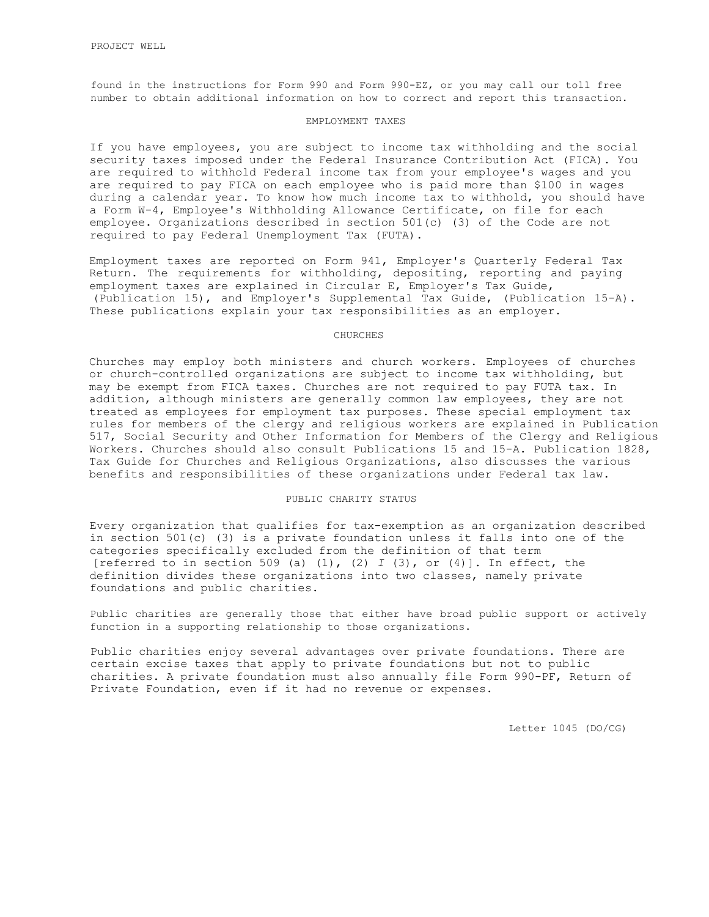found in the instructions for Form 990 and Form 990-EZ, or you may call our toll free number to obtain additional information on how to correct and report this transaction.

## EMPLOYMENT TAXES

If you have employees, you are subject to income tax withholding and the social security taxes imposed under the Federal Insurance Contribution Act (FICA). You are required to withhold Federal income tax from your employee's wages and you are required to pay FICA on each employee who is paid more than \$100 in wages during a calendar year. To know how much income tax to withhold, you should have a Form W-4, Employee's Withholding Allowance Certificate, on file for each employee. Organizations described in section 501(c) (3) of the Code are not required to pay Federal Unemployment Tax (FUTA).

Employment taxes are reported on Form 941, Employer's Quarterly Federal Tax Return. The requirements for withholding, depositing, reporting and paying employment taxes are explained in Circular E, Employer's Tax Guide, (Publication 15), and Employer's Supplemental Tax Guide, (Publication 15-A). These publications explain your tax responsibilities as an employer.

### CHURCHES

Churches may employ both ministers and church workers. Employees of churches or church-controlled organizations are subject to income tax withholding, but may be exempt from FICA taxes. Churches are not required to pay FUTA tax. In addition, although ministers are generally common law employees, they are not treated as employees for employment tax purposes. These special employment tax rules for members of the clergy and religious workers are explained in Publication 517, Social Security and Other Information for Members of the Clergy and Religious Workers. Churches should also consult Publications 15 and 15-A. Publication 1828, Tax Guide for Churches and Religious Organizations, also discusses the various benefits and responsibilities of these organizations under Federal tax law.

### PUBLIC CHARITY STATUS

Every organization that qualifies for tax-exemption as an organization described in section 501(c) (3) is a private foundation unless it falls into one of the categories specifically excluded from the definition of that term [referred to in section 509 (a) (1), (2) *I* (3), or (4)]. In effect, the definition divides these organizations into two classes, namely private foundations and public charities.

Public charities are generally those that either have broad public support or actively function in a supporting relationship to those organizations.

Public charities enjoy several advantages over private foundations. There are certain excise taxes that apply to private foundations but not to public charities. A private foundation must also annually file Form 990-PF, Return of Private Foundation, even if it had no revenue or expenses.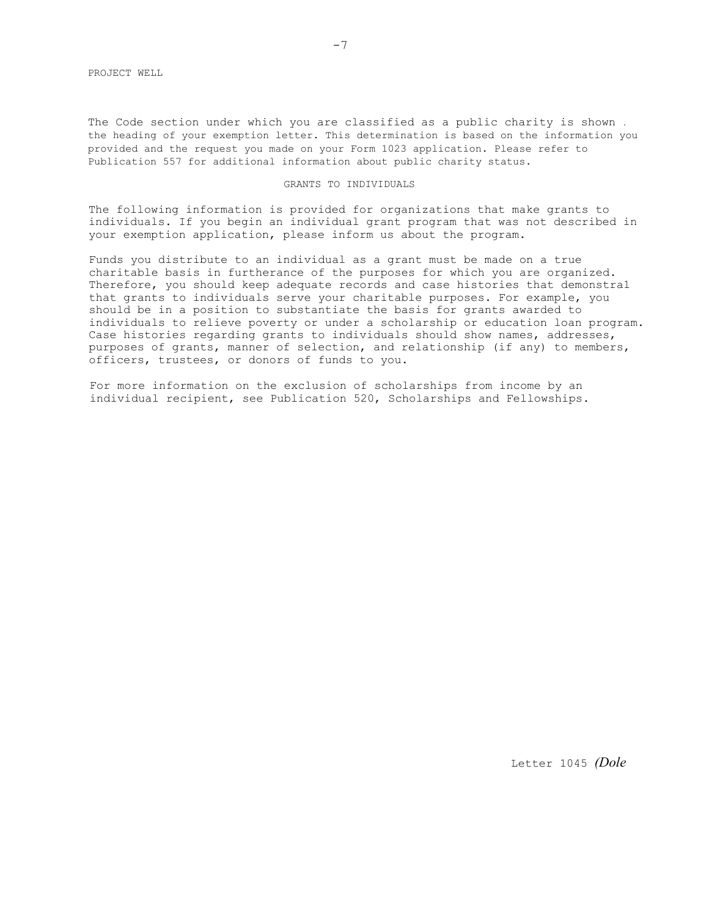The Code section under which you are classified as a public charity is shown . the heading of your exemption letter. This determination is based on the information you provided and the request you made on your Form 1023 application. Please refer to Publication 557 for additional information about public charity status.

## GRANTS TO INDIVIDUALS

The following information is provided for organizations that make grants to individuals. If you begin an individual grant program that was not described in your exemption application, please inform us about the program.

Funds you distribute to an individual as a grant must be made on a true charitable basis in furtherance of the purposes for which you are organized. Therefore, you should keep adequate records and case histories that demonstra1 that grants to individuals serve your charitable purposes. For example, you should be in a position to substantiate the basis for grants awarded to individuals to relieve poverty or under a scholarship or education loan program. Case histories regarding grants to individuals should show names, addresses, purposes of grants, manner of selection, and relationship (if any) to members, officers, trustees, or donors of funds to you.

For more information on the exclusion of scholarships from income by an individual recipient, see Publication 520, Scholarships and Fellowships.

Letter 1045 *(Dole*